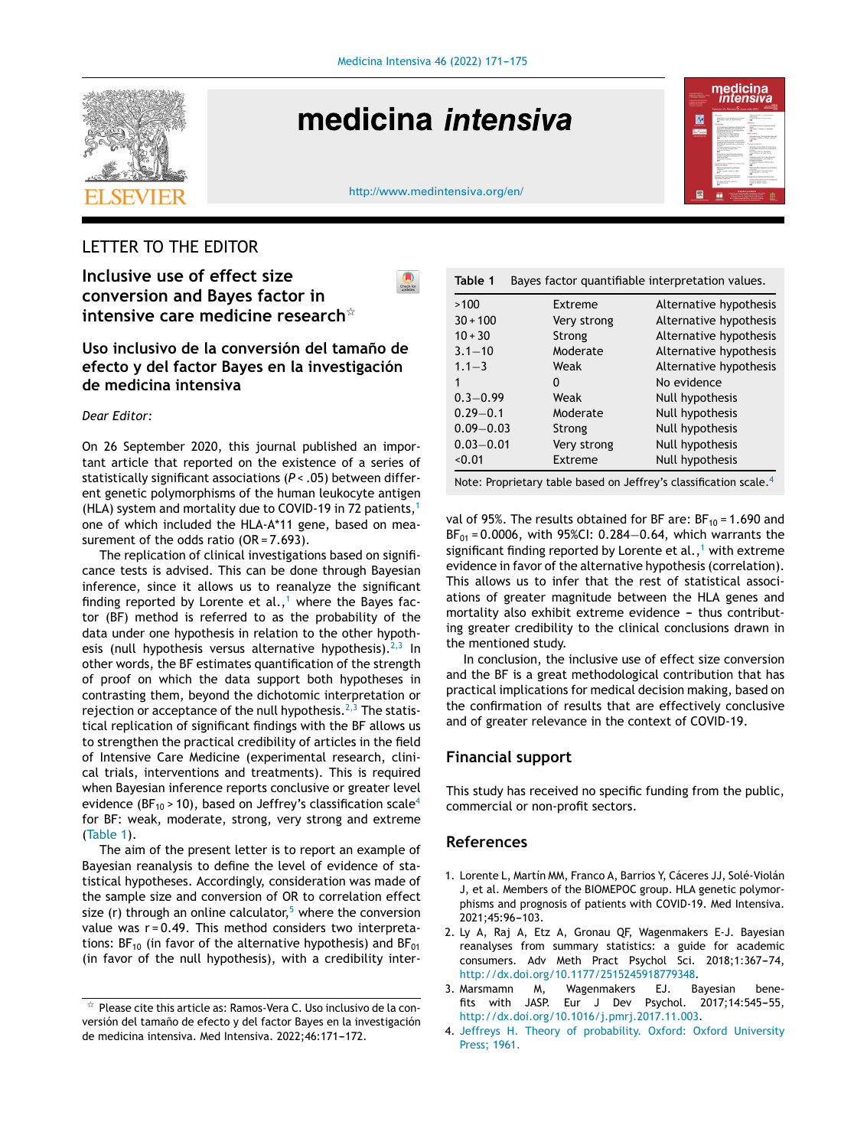

# medicina *intensiva*

<http://www.medintensiva.org/en/>

 $\bigcirc$ 



# LETTER TO THE EDITOR

**Inclusive use of effect size conversion and Bayes factor in intensive care medicine research**-

# **Uso inclusivo de la conversión del tamano˜ de efecto y del factor Bayes en la investigación de medicina intensiva**

*Dear Editor:*

On 26 September 2020, this journal published an important article that reported on the existence of a series of statistically significant associations (*P* < .05) between different genetic polymorphisms of the human leukocyte antigen (HLA) system and mortality due to COVID-19 in 72 patients, $<sup>1</sup>$ </sup> one of which included the HLA-A\*11 gene, based on measurement of the odds ratio (OR = 7.693).

The replication of clinical investigations based on significance tests is advised. This can be done through Bayesian inference, since it allows us to reanalyze the significant finding reported by Lorente et al.,<sup>1</sup> where the Bayes factor (BF) method is referred to as the probability of the data under one hypothesis in relation to the other hypothesis (null hypothesis versus alternative hypothesis). $2,3$  In other words, the BF estimates quantification of the strength of proof on which the data support both hypotheses in contrasting them, beyond the dichotomic interpretation or rejection or acceptance of the null hypothesis.<sup>2,3</sup> The statistical replication of significant findings with the BF allows us to strengthen the practical credibility of articles in the field of Intensive Care Medicine (experimental research, clinical trials, interventions and treatments). This is required when Bayesian inference reports conclusive or greater level evidence (BF<sub>10</sub> > 10), based on Jeffrey's classification scale<sup>4</sup> for BF: weak, moderate, strong, very strong and extreme (Table 1).

The aim of the present letter is to report an example of Bayesian reanalysis to define the level of evidence of statistical hypotheses. Accordingly, consideration was made of the sample size and conversion of OR to correlation effect size (r) through an online calculator,<sup>5</sup> [w](#page-1-0)here the conversion value was r = 0.49. This method considers two interpretations:  $BF_{10}$  (in favor of the alternative hypothesis) and  $BF_{01}$ (in favor of the null hypothesis), with a credibility inter-

| Table 1<br>Bayes factor quantifiable interpretation values. |             |                        |
|-------------------------------------------------------------|-------------|------------------------|
| >100                                                        | Extreme     | Alternative hypothesis |
| $30 + 100$                                                  | Very strong | Alternative hypothesis |
| $10 + 30$                                                   | Strong      | Alternative hypothesis |
| $3.1 - 10$                                                  | Moderate    | Alternative hypothesis |
| $1.1 - 3$                                                   | Weak        | Alternative hypothesis |
| 1                                                           | 0           | No evidence            |
| $0.3 - 0.99$                                                | Weak        | Null hypothesis        |
| $0.29 - 0.1$                                                | Moderate    | Null hypothesis        |
| $0.09 - 0.03$                                               | Strong      | Null hypothesis        |
| $0.03 - 0.01$                                               | Very strong | Null hypothesis        |
| < 0.01                                                      | Extreme     | Null hypothesis        |

Note: Proprietary table based on Jeffrey's classification scale.<sup>4</sup>

val of 95%. The results obtained for BF are:  $BF_{10} = 1.690$  and  $BF_{01} = 0.0006$ , with 95%CI: 0.284–0.64, which warrants the significant finding reported by Lorente et al.,<sup>1</sup> with extreme evidence in favor of the alternative hypothesis (correlation). This allows us to infer that the rest of statistical associations of greater magnitude between the HLA genes and mortality also exhibit extreme evidence - thus contributing greater credibility to the clinical conclusions drawn in the mentioned study.

In conclusion, the inclusive use of effect size conversion and the BF is a great methodological contribution that has practical implications for medical decision making, based on the confirmation of results that are effectively conclusive and of greater relevance in the context of COVID-19.

# **Financial support**

This study has received no specific funding from the public, commercial or non-profit sectors.

# **References**

- 1. Lorente L, Martín MM, Franco A, Barrios Y, Cáceres JJ, Solé-Violán J, et al. Members of the BIOMEPOC group. HLA genetic polymorphisms and prognosis of patients with COVID-19. Med Intensiva. 2021;45:96-103.
- 2. Ly A, Raj A, Etz A, Gronau QF, Wagenmakers E-J. Bayesian reanalyses from summary statistics: a guide for academic consumers. Adv Meth Pract Psychol Sci. 2018;1:367-74, [http://dx.doi.org/10.1177/2515245918779348](dx.doi.org/10.1177/2515245918779348).
- 3. Marsmamn M, Wagenmakers EJ. Bayesian benefits with JASP. Eur J Dev Psychol. 2017;14:545-55, [http://dx.doi.org/10.1016/j.pmrj.2017.11.003.](dx.doi.org/10.1016/j.pmrj.2017.11.003)
- 4. [Jeffreys](http://refhub.elsevier.com/S2173-5727(21)00201-0/sbref0020) [H.](http://refhub.elsevier.com/S2173-5727(21)00201-0/sbref0020) [Theory](http://refhub.elsevier.com/S2173-5727(21)00201-0/sbref0020) [of](http://refhub.elsevier.com/S2173-5727(21)00201-0/sbref0020) [probability.](http://refhub.elsevier.com/S2173-5727(21)00201-0/sbref0020) [Oxford:](http://refhub.elsevier.com/S2173-5727(21)00201-0/sbref0020) [Oxford](http://refhub.elsevier.com/S2173-5727(21)00201-0/sbref0020) [University](http://refhub.elsevier.com/S2173-5727(21)00201-0/sbref0020) [Press;](http://refhub.elsevier.com/S2173-5727(21)00201-0/sbref0020) [1961.](http://refhub.elsevier.com/S2173-5727(21)00201-0/sbref0020)

 $\star$  Please cite this article as: Ramos-Vera C. Uso inclusivo de la conversión del tamaño de efecto y del factor Bayes en la investigación de medicina intensiva. Med Intensiva. 2022;46:171-172.